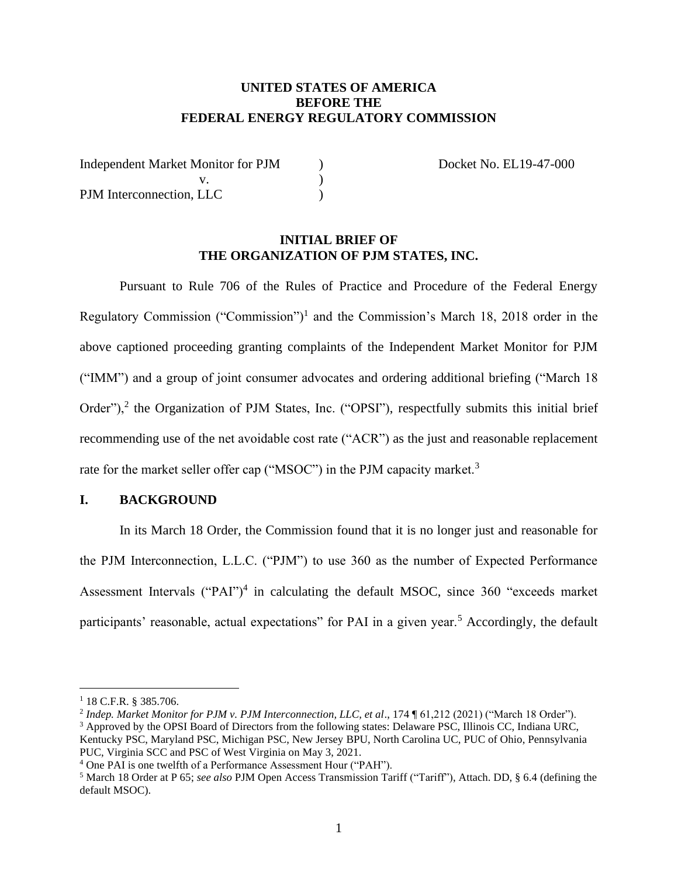# **UNITED STATES OF AMERICA BEFORE THE FEDERAL ENERGY REGULATORY COMMISSION**

| <b>Independent Market Monitor for PJM</b> |  |
|-------------------------------------------|--|
|                                           |  |
| PJM Interconnection, LLC                  |  |

Docket No. EL19-47-000

### **INITIAL BRIEF OF THE ORGANIZATION OF PJM STATES, INC.**

Pursuant to Rule 706 of the Rules of Practice and Procedure of the Federal Energy Regulatory Commission ("Commission")<sup>1</sup> and the Commission's March 18, 2018 order in the above captioned proceeding granting complaints of the Independent Market Monitor for PJM ("IMM") and a group of joint consumer advocates and ordering additional briefing ("March 18 Order"),<sup>2</sup> the Organization of PJM States, Inc. ("OPSI"), respectfully submits this initial brief recommending use of the net avoidable cost rate ("ACR") as the just and reasonable replacement rate for the market seller offer cap ("MSOC") in the PJM capacity market.<sup>3</sup>

# **I. BACKGROUND**

In its March 18 Order, the Commission found that it is no longer just and reasonable for the PJM Interconnection, L.L.C. ("PJM") to use 360 as the number of Expected Performance Assessment Intervals ("PAI")<sup>4</sup> in calculating the default MSOC, since 360 "exceeds market participants' reasonable, actual expectations" for PAI in a given year.<sup>5</sup> Accordingly, the default

<sup>1</sup> 18 C.F.R. § 385.706.

<sup>2</sup> *Indep. Market Monitor for PJM v. PJM Interconnection, LLC, et al*., 174 ¶ 61,212 (2021) ("March 18 Order").

<sup>3</sup> Approved by the OPSI Board of Directors from the following states: Delaware PSC, Illinois CC, Indiana URC, Kentucky PSC, Maryland PSC, Michigan PSC, New Jersey BPU, North Carolina UC, PUC of Ohio, Pennsylvania PUC, Virginia SCC and PSC of West Virginia on May 3, 2021.

<sup>4</sup> One PAI is one twelfth of a Performance Assessment Hour ("PAH").

<sup>5</sup> March 18 Order at P 65; *see also* PJM Open Access Transmission Tariff ("Tariff"), Attach. DD, § 6.4 (defining the default MSOC).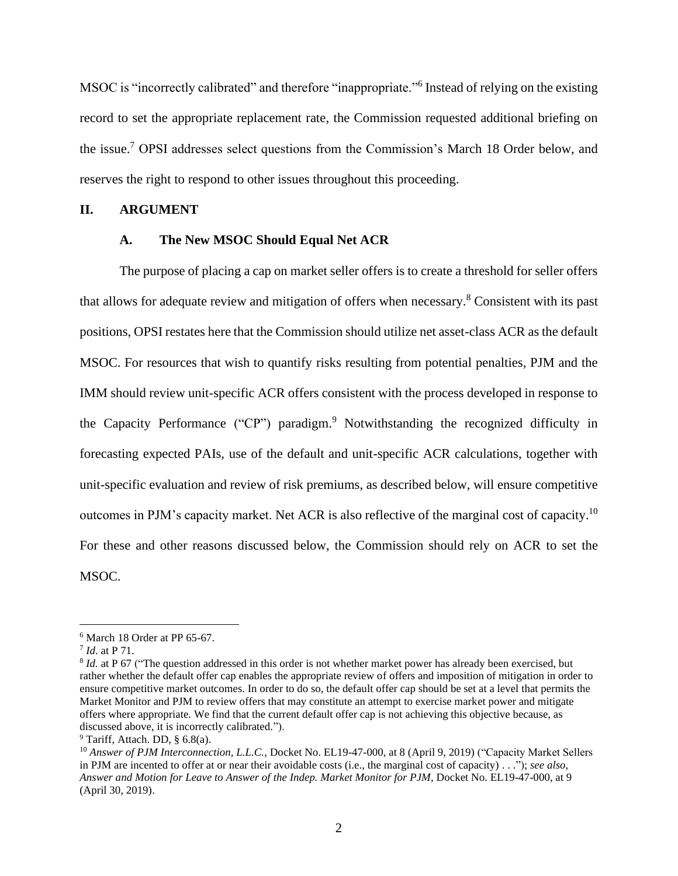MSOC is "incorrectly calibrated" and therefore "inappropriate." Instead of relying on the existing record to set the appropriate replacement rate, the Commission requested additional briefing on the issue. <sup>7</sup> OPSI addresses select questions from the Commission's March 18 Order below, and reserves the right to respond to other issues throughout this proceeding.

## **II. ARGUMENT**

### **A. The New MSOC Should Equal Net ACR**

The purpose of placing a cap on market seller offers is to create a threshold for seller offers that allows for adequate review and mitigation of offers when necessary. <sup>8</sup> Consistent with its past positions, OPSI restates here that the Commission should utilize net asset-class ACR as the default MSOC. For resources that wish to quantify risks resulting from potential penalties, PJM and the IMM should review unit-specific ACR offers consistent with the process developed in response to the Capacity Performance ("CP") paradigm.<sup>9</sup> Notwithstanding the recognized difficulty in forecasting expected PAIs, use of the default and unit-specific ACR calculations, together with unit-specific evaluation and review of risk premiums, as described below, will ensure competitive outcomes in PJM's capacity market. Net ACR is also reflective of the marginal cost of capacity.<sup>10</sup> For these and other reasons discussed below, the Commission should rely on ACR to set the MSOC.

 $6$  March 18 Order at PP 65-67.

<sup>7</sup> *Id*. at P 71.

<sup>&</sup>lt;sup>8</sup> *Id.* at P 67 ("The question addressed in this order is not whether market power has already been exercised, but rather whether the default offer cap enables the appropriate review of offers and imposition of mitigation in order to ensure competitive market outcomes. In order to do so, the default offer cap should be set at a level that permits the Market Monitor and PJM to review offers that may constitute an attempt to exercise market power and mitigate offers where appropriate. We find that the current default offer cap is not achieving this objective because, as discussed above, it is incorrectly calibrated.").

 $9$  Tariff, Attach. DD, § 6.8(a).

<sup>&</sup>lt;sup>10</sup> Answer of PJM Interconnection, L.L.C., Docket No. EL19-47-000, at 8 (April 9, 2019) ("Capacity Market Sellers in PJM are incented to offer at or near their avoidable costs (i.e., the marginal cost of capacity) . . ."); *see also*, *Answer and Motion for Leave to Answer of the Indep. Market Monitor for PJM*, Docket No. EL19-47-000, at 9 (April 30, 2019).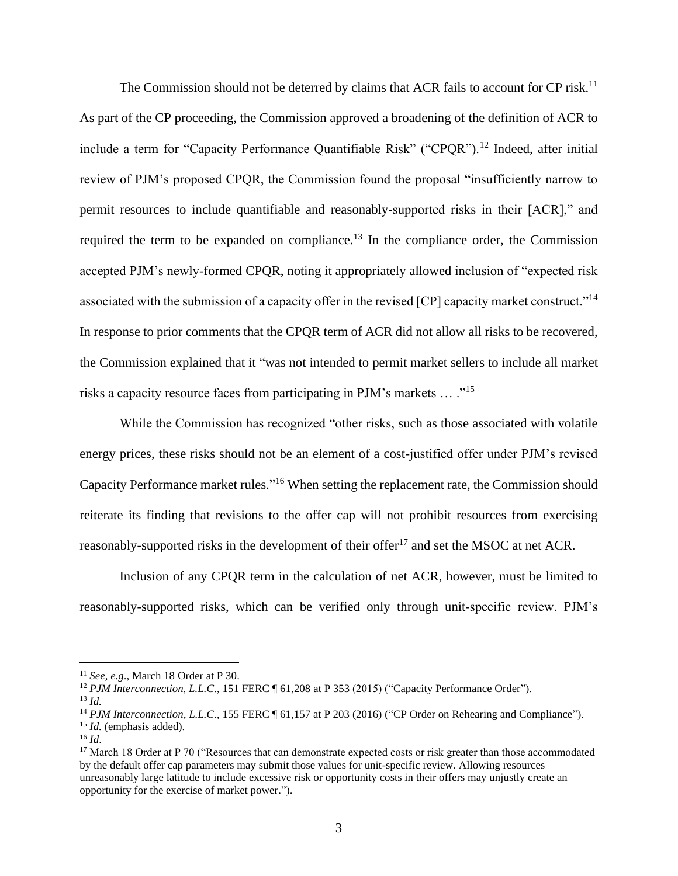The Commission should not be deterred by claims that ACR fails to account for CP risk.<sup>11</sup> As part of the CP proceeding, the Commission approved a broadening of the definition of ACR to include a term for "Capacity Performance Quantifiable Risk" ("CPOR").<sup>12</sup> Indeed, after initial review of PJM's proposed CPQR, the Commission found the proposal "insufficiently narrow to permit resources to include quantifiable and reasonably-supported risks in their [ACR]," and required the term to be expanded on compliance.<sup>13</sup> In the compliance order, the Commission accepted PJM's newly-formed CPQR, noting it appropriately allowed inclusion of "expected risk associated with the submission of a capacity offer in the revised [CP] capacity market construct."<sup>14</sup> In response to prior comments that the CPQR term of ACR did not allow all risks to be recovered, the Commission explained that it "was not intended to permit market sellers to include all market risks a capacity resource faces from participating in PJM's markets … ."<sup>15</sup>

While the Commission has recognized "other risks, such as those associated with volatile energy prices, these risks should not be an element of a cost-justified offer under PJM's revised Capacity Performance market rules."<sup>16</sup> When setting the replacement rate, the Commission should reiterate its finding that revisions to the offer cap will not prohibit resources from exercising reasonably-supported risks in the development of their offer<sup>17</sup> and set the MSOC at net ACR.

Inclusion of any CPQR term in the calculation of net ACR, however, must be limited to reasonably-supported risks, which can be verified only through unit-specific review. PJM's

<sup>11</sup> *See, e.g*., March 18 Order at P 30.

<sup>&</sup>lt;sup>12</sup> *PJM Interconnection, L.L.C.*, 151 FERC ¶ 61,208 at P 353 (2015) ("Capacity Performance Order").

<sup>13</sup> *Id.*

<sup>&</sup>lt;sup>14</sup> *PJM Interconnection, L.L.C.*, 155 FERC ¶ 61,157 at P 203 (2016) ("CP Order on Rehearing and Compliance").

<sup>15</sup> *Id.* (emphasis added).

<sup>16</sup> *Id*.

 $17$  March 18 Order at P 70 ("Resources that can demonstrate expected costs or risk greater than those accommodated by the default offer cap parameters may submit those values for unit-specific review. Allowing resources unreasonably large latitude to include excessive risk or opportunity costs in their offers may unjustly create an opportunity for the exercise of market power.").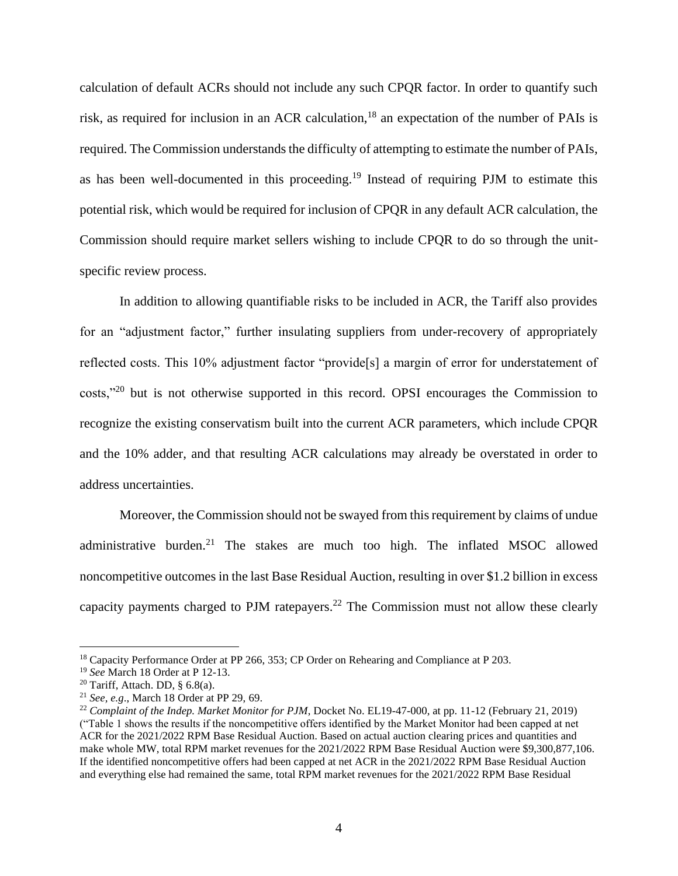calculation of default ACRs should not include any such CPQR factor. In order to quantify such risk, as required for inclusion in an ACR calculation,<sup>18</sup> an expectation of the number of PAIs is required. The Commission understands the difficulty of attempting to estimate the number of PAIs, as has been well-documented in this proceeding.<sup>19</sup> Instead of requiring PJM to estimate this potential risk, which would be required for inclusion of CPQR in any default ACR calculation, the Commission should require market sellers wishing to include CPQR to do so through the unitspecific review process.

In addition to allowing quantifiable risks to be included in ACR, the Tariff also provides for an "adjustment factor," further insulating suppliers from under-recovery of appropriately reflected costs. This 10% adjustment factor "provide[s] a margin of error for understatement of costs,"<sup>20</sup> but is not otherwise supported in this record. OPSI encourages the Commission to recognize the existing conservatism built into the current ACR parameters, which include CPQR and the 10% adder, and that resulting ACR calculations may already be overstated in order to address uncertainties.

Moreover, the Commission should not be swayed from this requirement by claims of undue administrative burden.<sup>21</sup> The stakes are much too high. The inflated MSOC allowed noncompetitive outcomes in the last Base Residual Auction, resulting in over \$1.2 billion in excess capacity payments charged to PJM ratepayers.<sup>22</sup> The Commission must not allow these clearly

<sup>&</sup>lt;sup>18</sup> Capacity Performance Order at PP 266, 353; CP Order on Rehearing and Compliance at P 203.

<sup>19</sup> *See* March 18 Order at P 12-13.

<sup>&</sup>lt;sup>20</sup> Tariff, Attach. DD, §  $6.8(a)$ .

<sup>21</sup> *See, e.g*., March 18 Order at PP 29, 69.

<sup>22</sup> *Complaint of the Indep. Market Monitor for PJM*, Docket No. EL19-47-000, at pp. 11-12 (February 21, 2019) ("Table 1 shows the results if the noncompetitive offers identified by the Market Monitor had been capped at net ACR for the 2021/2022 RPM Base Residual Auction. Based on actual auction clearing prices and quantities and make whole MW, total RPM market revenues for the 2021/2022 RPM Base Residual Auction were \$9,300,877,106. If the identified noncompetitive offers had been capped at net ACR in the 2021/2022 RPM Base Residual Auction and everything else had remained the same, total RPM market revenues for the 2021/2022 RPM Base Residual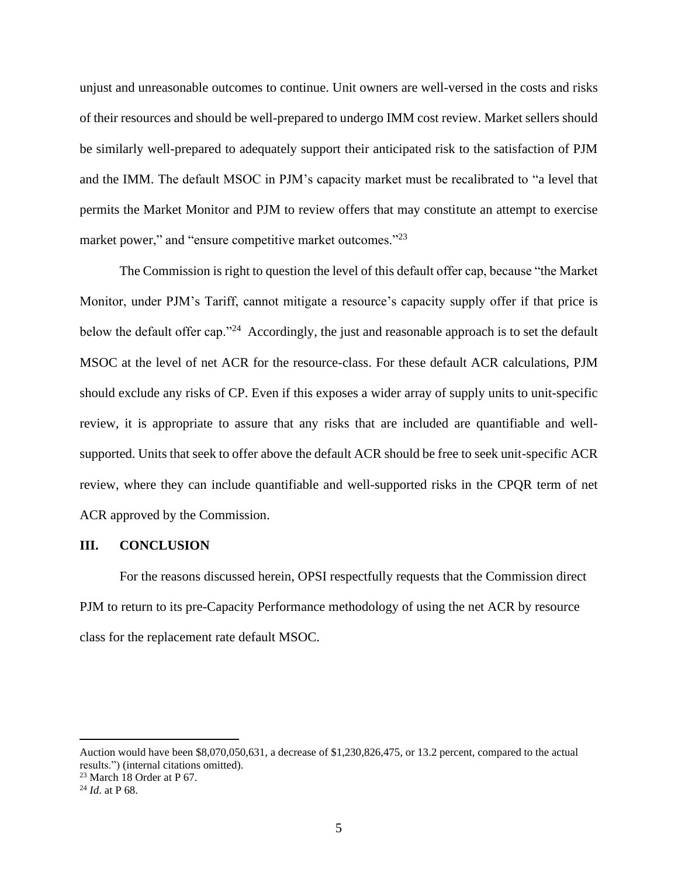unjust and unreasonable outcomes to continue. Unit owners are well-versed in the costs and risks of their resources and should be well-prepared to undergo IMM cost review. Market sellers should be similarly well-prepared to adequately support their anticipated risk to the satisfaction of PJM and the IMM. The default MSOC in PJM's capacity market must be recalibrated to "a level that permits the Market Monitor and PJM to review offers that may constitute an attempt to exercise market power," and "ensure competitive market outcomes."<sup>23</sup>

The Commission is right to question the level of this default offer cap, because "the Market Monitor, under PJM's Tariff, cannot mitigate a resource's capacity supply offer if that price is below the default offer cap."<sup>24</sup> Accordingly, the just and reasonable approach is to set the default MSOC at the level of net ACR for the resource-class. For these default ACR calculations, PJM should exclude any risks of CP. Even if this exposes a wider array of supply units to unit-specific review, it is appropriate to assure that any risks that are included are quantifiable and wellsupported. Units that seek to offer above the default ACR should be free to seek unit-specific ACR review, where they can include quantifiable and well-supported risks in the CPQR term of net ACR approved by the Commission.

#### **III. CONCLUSION**

For the reasons discussed herein, OPSI respectfully requests that the Commission direct PJM to return to its pre-Capacity Performance methodology of using the net ACR by resource class for the replacement rate default MSOC.

Auction would have been \$8,070,050,631, a decrease of \$1,230,826,475, or 13.2 percent, compared to the actual results.") (internal citations omitted).

<sup>23</sup> March 18 Order at P 67.

<sup>24</sup> *Id*. at P 68.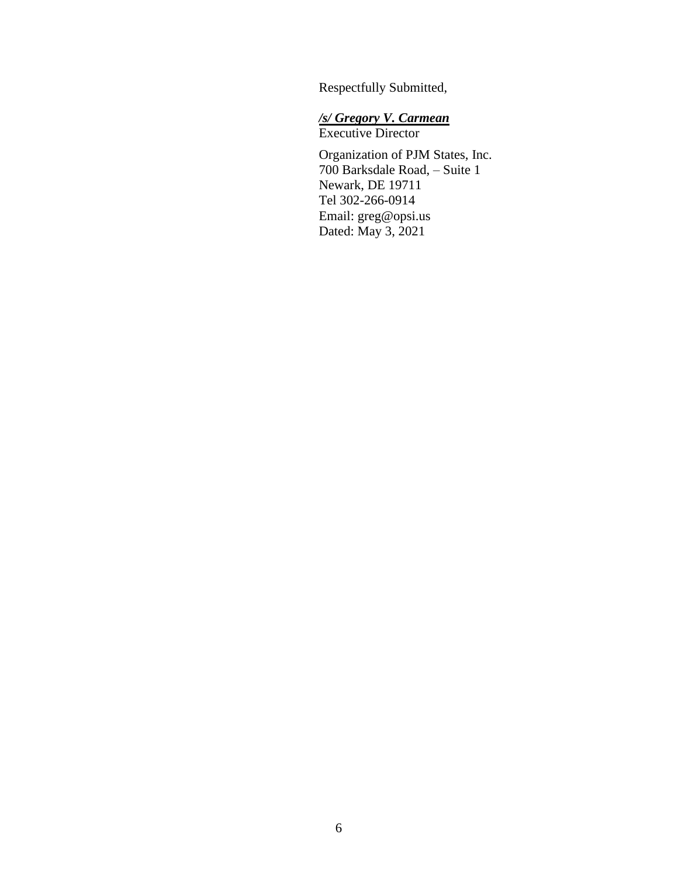Respectfully Submitted,

# */s/ Gregory V. Carmean* Executive Director

Organization of PJM States, Inc. 700 Barksdale Road, – Suite 1 Newark, DE 19711 Tel 302-266-0914 Email: greg@opsi.us Dated: May 3, 2021